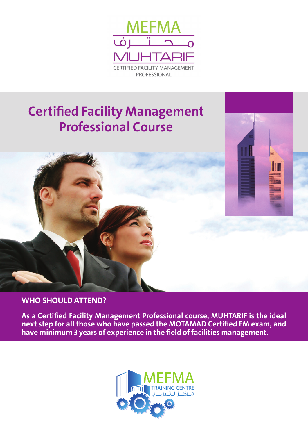

# **Certified Facility Management Professional Course**



### **WHO SHOULD ATTEND?**

**As a Certified Facility Management Professional course, MUHTARIF is the ideal next step for all those who have passed the MOTAMAD Certified FM exam, and have minimum 3 years of experience in the field of facilities management.**

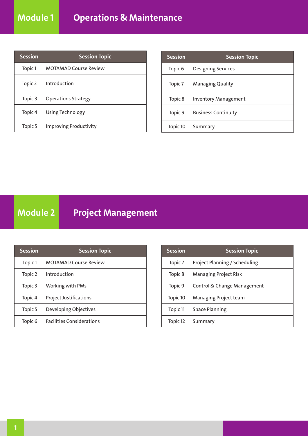| <b>Session</b> | <b>Session Topic</b>          |
|----------------|-------------------------------|
| Topic 1        | <b>MOTAMAD Course Review</b>  |
| Topic 2        | Introduction                  |
| Topic 3        | <b>Operations Strategy</b>    |
| Topic 4        | Using Technology              |
| Topic 5        | <b>Improving Productivity</b> |

| <b>Session</b>     | <b>Session Topic</b>        |
|--------------------|-----------------------------|
| Topic <sub>6</sub> | <b>Designing Services</b>   |
| Topic 7            | <b>Managing Quality</b>     |
| Topic 8            | <b>Inventory Management</b> |
| Topic 9            | <b>Business Continuity</b>  |
| Topic 10           | Summary                     |

**Module 2 Project Management**

| <b>Session</b> | <b>Session Topic</b>             |
|----------------|----------------------------------|
| Topic 1        | <b>MOTAMAD Course Review</b>     |
| Topic 2        | Introduction                     |
| Topic 3        | Working with PMs                 |
| Topic 4        | <b>Project Justifications</b>    |
| Topic 5        | Developing Objectives            |
| Topic 6        | <b>Facilities Considerations</b> |

| <b>Session</b> | <b>Session Topic</b>          |
|----------------|-------------------------------|
| Topic 7        | Project Planning / Scheduling |
| Topic 8        | <b>Managing Project Risk</b>  |
| Topic 9        | Control & Change Management   |
| Topic 10       | Managing Project team         |
| Topic 11       | <b>Space Planning</b>         |
| Topic 12       | Summary                       |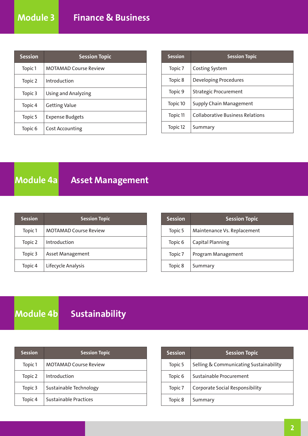| <b>Session</b>     | <b>Session Topic</b>         |
|--------------------|------------------------------|
| Topic 1            | <b>MOTAMAD Course Review</b> |
| Topic 2            | Introduction                 |
| Topic 3            | Using and Analyzing          |
| Topic 4            | <b>Getting Value</b>         |
| Topic 5            | <b>Expense Budgets</b>       |
| Topic <sub>6</sub> | Cost Accounting              |

| <b>Session</b>     | <b>Session Topic</b>                    |
|--------------------|-----------------------------------------|
| Topic <sub>7</sub> | Costing System                          |
| Topic 8            | Developing Procedures                   |
| Topic 9            | <b>Strategic Procurement</b>            |
| Topic 10           | Supply Chain Management                 |
| Topic 11           | <b>Collaborative Business Relations</b> |
| Topic 12           | Summary                                 |

### **Module 4a** Asset Management

| <b>Session</b> | <b>Session Topic</b>         |
|----------------|------------------------------|
| Topic 1        | <b>MOTAMAD Course Review</b> |
| Topic 2        | Introduction                 |
| Topic 3        | <b>Asset Management</b>      |
| Topic 4        | Lifecycle Analysis           |

| <b>Session</b>     | <b>Session Topic</b>        |
|--------------------|-----------------------------|
| Topic 5            | Maintenance Vs. Replacement |
| Topic <sub>6</sub> | <b>Capital Planning</b>     |
| Topic <sub>7</sub> | Program Management          |
| Topic 8            | Summary                     |

## **Module 4b Sustainability**

| <b>Session</b> | <b>Session Topic</b>         |
|----------------|------------------------------|
| Topic 1        | <b>MOTAMAD Course Review</b> |
| Topic 2        | Introduction                 |
| Topic 3        | Sustainable Technology       |
| Topic 4        | <b>Sustainable Practices</b> |

| <b>Session</b>     | <b>Session Topic</b>                   |
|--------------------|----------------------------------------|
| Topic 5            | Selling & Communicating Sustainability |
| Topic <sub>6</sub> | Sustainable Procurement                |
| Topic 7            | <b>Corporate Social Responsibility</b> |
| Topic 8            | Summary                                |